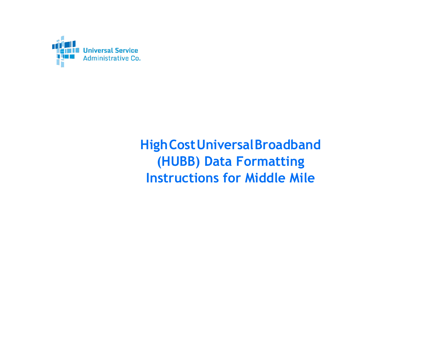

**HighCostUniversalBroadband (HUBB) Data Formatting Instructions for Middle Mile**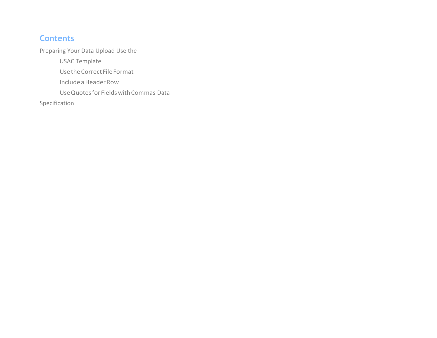## **Contents**

Preparing Your Data Upload Use the

USAC Template

Use the Correct File Format

IncludeaHeaderRow

UseQuotesforFieldswithCommas Data

Specification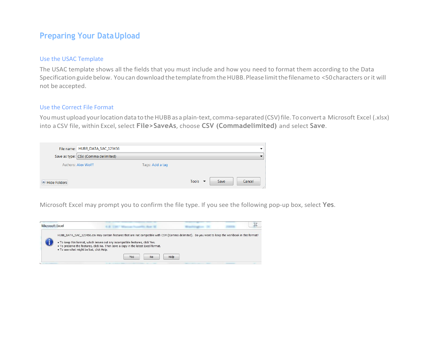### **Preparing Your DataUpload**

#### Use the USAC Template

The USAC template shows all the fields that you must include and how you need to format them according to the Data Specification guide below. You can download the template from the HUBB. Please limit the filenameto <50 characters or it will not be accepted.

#### Use the Correct File Format

You must upload your location data to the HUBB as a plain-text, comma-separated (CSV) file. To convert a Microsoft Excel (.xlsx) into a CSV file, within Excel,select **File>SaveAs**, choose **CSV (Commadelimited)** and select **Save**.

|              | File name: HUBB_DATA_SAC_123456     |                 |                             |      |        |
|--------------|-------------------------------------|-----------------|-----------------------------|------|--------|
|              | Save as type: CSV (Comma delimited) |                 |                             |      |        |
|              | <b>Authors: Alex Wolff</b>          | Tags: Add a tag |                             |      |        |
|              |                                     |                 |                             |      |        |
| Hide Folders |                                     |                 | Tools $\blacktriangleright$ | Save | Cancel |

Microsoft Excel may prompt you to confirm the file type. If you see the following pop-up box, select **Yes**.

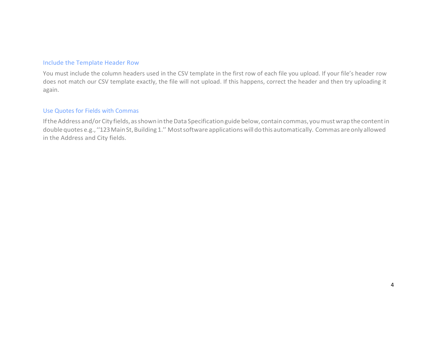#### Include the Template Header Row

You must include the column headers used in the CSV template in the first row of each file you upload. If your file's header row does not match our CSV template exactly, the file will not upload. If this happens, correct the header and then try uploading it again.

#### Use Quotes for Fields with Commas

If the Address and/or City fields, as shown in the Data Specification guide below, contain commas, you must wrap the content in double quotes e.g., "123 Main St, Building 1." Most software applications will do this automatically. Commas are only allowed in the Address and City fields.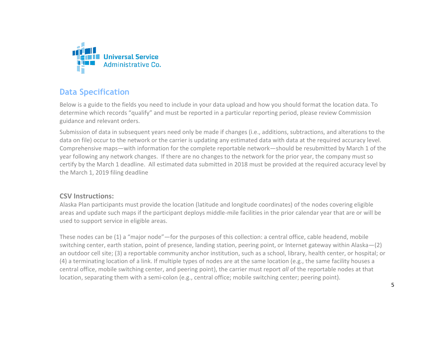

## **Data Specification**

Below is a guide to the fields you need to include in your data upload and how you should format the location data. To determine which records "qualify" and must be reported in a particular reporting period, please review Commission guidance and relevant orders.

Submission of data in subsequent years need only be made if changes (i.e., additions, subtractions, and alterations to the data on file) occur to the network or the carrier is updating any estimated data with data at the required accuracy level. Comprehensive maps—with information for the complete reportable network—should be resubmitted by March 1 of the year following any network changes. If there are no changes to the network for the prior year, the company must so certify by the March 1 deadline. All estimated data submitted in 2018 must be provided at the required accuracy level by the March 1, 2019 filing deadline

### **CSV Instructions:**

Alaska Plan participants must provide the location (latitude and longitude coordinates) of the nodes covering eligible areas and update such maps if the participant deploys middle-mile facilities in the prior calendar year that are or will be used to support service in eligible areas.

These nodes can be (1) a "major node"—for the purposes of this collection: a central office, cable headend, mobile switching center, earth station, point of presence, landing station, peering point, or Internet gateway within Alaska—(2) an outdoor cell site; (3) a reportable community anchor institution, such as a school, library, health center, or hospital; or (4) a terminating location of a link. If multiple types of nodes are at the same location (e.g., the same facility houses a central office, mobile switching center, and peering point), the carrier must report *all* of the reportable nodes at that location, separating them with a semi-colon (e.g., central office; mobile switching center; peering point).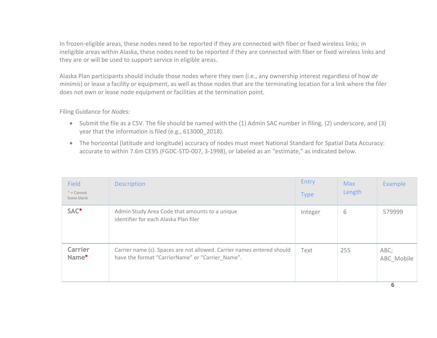In frozen-eligible areas, these nodes need to be reported if they are connected with fiber or fixed wireless links; in ineligible areas within Alaska, these nodes need to be reported if they are connected with fiber or fixed wireless links and they are or will be used to support service in eligible areas.

Alaska Plan participants should include those nodes where they own (i.e., any ownership interest regardless of how *de minimis*) or lease a facility or equipment, as well as those nodes that are the terminating location for a link where the filer does not own or lease node equipment or facilities at the termination point.

Filing Guidance for *Nodes:*

- Submit the file as a CSV. The file should be named with the (1) Admin SAC number in filing, (2) underscore, and (3) year that the information is filed (e.g., 613000\_2018).
- The horizontal (latitude and longitude) accuracy of nodes must meet National Standard for Spatial Data Accuracy: accurate to within 7.6m CE95 (FGDC-STD-007, 3-1998), or labeled as an "estimate," as indicated below.

| <b>Field</b><br>$* =$ Cannot<br>leave blank | <b>Description</b>                                                                                                         | Entry<br><b>Type</b> | <b>Max</b><br>Length | Example                 |
|---------------------------------------------|----------------------------------------------------------------------------------------------------------------------------|----------------------|----------------------|-------------------------|
| SAC*                                        | Admin Study Area Code that amounts to a unique<br>identifier for each Alaska Plan filer                                    | Integer              | 6                    | 579999                  |
| Carrier<br>Name*                            | Carrier name (s). Spaces are not allowed. Carrier names entered should<br>have the format "CarrierName" or "Carrier Name". | Text                 | 255                  | ABC;<br>ABC Mobile<br>C |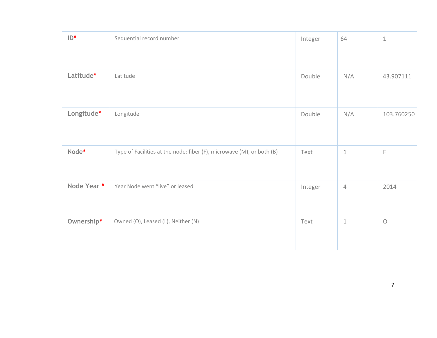| $ID^*$      | Sequential record number                                              | Integer | 64             | $\,1\,$    |
|-------------|-----------------------------------------------------------------------|---------|----------------|------------|
|             |                                                                       |         |                |            |
| Latitude*   | Latitude                                                              | Double  | N/A            | 43.907111  |
| Longitude*  | Longitude                                                             | Double  | N/A            | 103.760250 |
| Node*       | Type of Facilities at the node: fiber (F), microwave (M), or both (B) | Text    | $1\,$          | F          |
| Node Year * | Year Node went "live" or leased                                       | Integer | $\overline{4}$ | 2014       |
| Ownership*  | Owned (O), Leased (L), Neither (N)                                    | Text    | $\mathbf 1$    | $\bigcirc$ |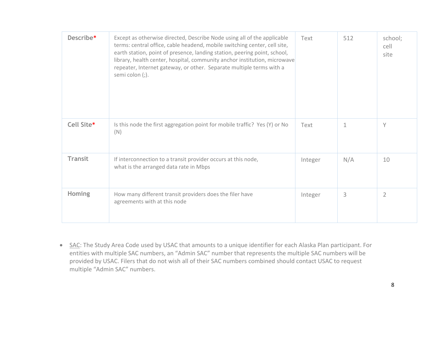| Describe*      | Except as otherwise directed, Describe Node using all of the applicable<br>terms: central office, cable headend, mobile switching center, cell site,<br>earth station, point of presence, landing station, peering point, school,<br>library, health center, hospital, community anchor institution, microwave<br>repeater, Internet gateway, or other. Separate multiple terms with a<br>semi colon (;). | Text    | 512 | school;<br>cell<br>site |
|----------------|-----------------------------------------------------------------------------------------------------------------------------------------------------------------------------------------------------------------------------------------------------------------------------------------------------------------------------------------------------------------------------------------------------------|---------|-----|-------------------------|
| Cell Site*     | Is this node the first aggregation point for mobile traffic? Yes (Y) or No<br>(N)                                                                                                                                                                                                                                                                                                                         | Text    | 1   | Y                       |
| <b>Transit</b> | If interconnection to a transit provider occurs at this node,<br>what is the arranged data rate in Mbps                                                                                                                                                                                                                                                                                                   | Integer | N/A | 10                      |
| <b>Homing</b>  | How many different transit providers does the filer have<br>agreements with at this node                                                                                                                                                                                                                                                                                                                  | Integer | 3   | $\overline{2}$          |

• SAC: The Study Area Code used by USAC that amounts to a unique identifier for each Alaska Plan participant. For entities with multiple SAC numbers, an "Admin SAC" number that represents the multiple SAC numbers will be provided by USAC. Filers that do not wish all of their SAC numbers combined should contact USAC to request multiple "Admin SAC" numbers.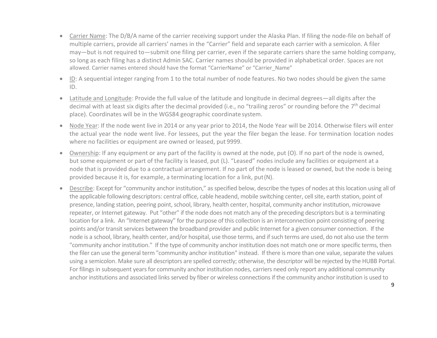- Carrier Name: The D/B/A name of the carrier receiving support under the Alaska Plan. If filing the node-file on behalf of multiple carriers, provide all carriers' names in the "Carrier" field and separate each carrier with a semicolon. A filer may—but is not required to—submit one filing per carrier, even if the separate carriers share the same holding company, so long as each filing has a distinct Admin SAC. Carrier names should be provided in alphabetical order. Spaces are not allowed. Carrier names entered should have the format "CarrierName" or "Carrier\_Name"
- ID: A sequential integer ranging from 1 to the total number of node features. No two nodes should be given the same ID.
- Latitude and Longitude: Provide the full value of the latitude and longitude in decimal degrees—all digits after the decimal with at least six digits after the decimal provided (i.e., no "trailing zeros" or rounding before the 7<sup>th</sup> decimal place). Coordinates will be in the WGS84 geographic coordinate system.
- Node Year: If the node went live in 2014 or any year prior to 2014, the Node Year will be 2014. Otherwise filers will enter the actual year the node went live. For lessees, put the year the filer began the lease. For termination location nodes where no facilities or equipment are owned or leased, put 9999.
- Ownership: If any equipment or any part of the facility is owned at the node, put (O). If no part of the node is owned, but some equipment or part of the facility is leased, put (L). "Leased" nodes include any facilities or equipment at a node that is provided due to a contractual arrangement. If no part of the node is leased or owned, but the node is being provided because it is, for example, a terminating location for a link, put(N).
- Describe: Except for "community anchor institution," as specified below, describe the types of nodes at this location using all of the applicable following descriptors: central office, cable headend, mobile switching center, cell site, earth station, point of presence, landing station, peering point, school, library, health center, hospital, community anchor institution, microwave repeater, or Internet gateway. Put "other" if the node does not match any of the preceding descriptors but is a terminating location for a link. An "Internet gateway" for the purpose of this collection is an interconnection point consisting of peering points and/or transit services between the broadband provider and public Internet for a given consumer connection. If the node is a school, library, health center, and/or hospital, use those terms, and if such terms are used, do not also use the term "community anchor institution." If the type of community anchor institution does not match one or more specific terms, then the filer can use the general term "community anchor institution" instead. If there is more than one value, separate the values using a semicolon. Make sure all descriptors are spelled correctly; otherwise, the descriptor will be rejected by the HUBB Portal. For filings in subsequent years for community anchor institution nodes, carriers need only report any additional community anchor institutions and associated links served by fiber or wireless connections if the community anchor institution is used to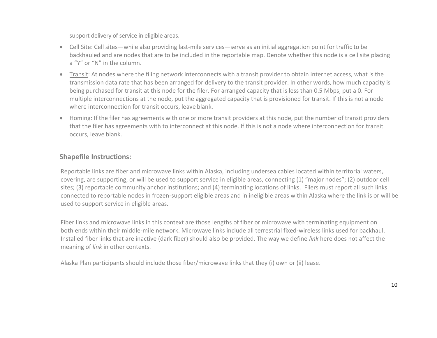support delivery of service in eligible areas.

- Cell Site: Cell sites—while also providing last-mile services—serve as an initial aggregation point for traffic to be backhauled and are nodes that are to be included in the reportable map. Denote whether this node is a cell site placing a "Y" or "N" in the column.
- Transit: At nodes where the filing network interconnects with a transit provider to obtain Internet access, what is the transmission data rate that has been arranged for delivery to the transit provider. In other words, how much capacity is being purchased for transit at this node for the filer. For arranged capacity that is less than 0.5 Mbps, put a 0. For multiple interconnections at the node, put the aggregated capacity that is provisioned for transit. If this is not a node where interconnection for transit occurs, leave blank.
- Homing: If the filer has agreements with one or more transit providers at this node, put the number of transit providers that the filer has agreements with to interconnect at this node. If this is not a node where interconnection for transit occurs, leave blank.

### **Shapefile Instructions:**

Reportable links are fiber and microwave links within Alaska, including undersea cables located within territorial waters, covering, are supporting, or will be used to support service in eligible areas, connecting (1) "major nodes"; (2) outdoor cell sites; (3) reportable community anchor institutions; and (4) terminating locations of links. Filers must report all such links connected to reportable nodes in frozen-support eligible areas and in ineligible areas within Alaska where the link is or will be used to support service in eligible areas.

Fiber links and microwave links in this context are those lengths of fiber or microwave with terminating equipment on both ends within their middle-mile network. Microwave links include all terrestrial fixed-wireless links used for backhaul. Installed fiber links that are inactive (dark fiber) should also be provided. The way we define *link* here does not affect the meaning of *link* in other contexts.

Alaska Plan participants should include those fiber/microwave links that they (i) own or (ii) lease.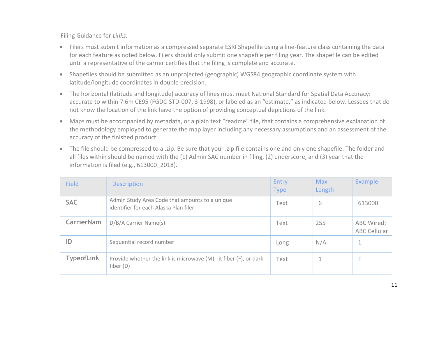Filing Guidance for *Links:*

- Filers must submit information as a compressed separate ESRI Shapefile using a line-feature class containing the data for each feature as noted below. Filers should only submit one shapefile per filing year. The shapefile can be edited until a representative of the carrier certifies that the filing is complete and accurate.
- Shapefiles should be submitted as an unprojected (geographic) WGS84 geographic coordinate system with latitude/longitude coordinates in double precision.
- The horizontal (latitude and longitude) accuracy of lines must meet National Standard for Spatial Data Accuracy: accurate to within 7.6m CE95 (FGDC-STD-007, 3-1998), or labeled as an "estimate," as indicated below. Lessees that do not know the location of the link have the option of providing conceptual depictions of the link.
- Maps must be accompanied by metadata, or a plain text "readme" file, that contains a comprehensive explanation of the methodology employed to generate the map layer including any necessary assumptions and an assessment of the accuracy of the finished product.
- The file should be compressed to a .zip. Be sure that your .zip file contains one and only one shapefile. The folder and all files within should be named with the (1) Admin SAC number in filing, (2) underscore, and (3) year that the information is filed (e.g., 613000\_2018).

| <b>Field</b>      | <b>Description</b>                                                                      | Entry<br><b>Type</b> | <b>Max</b><br>Length | <b>Example</b>                    |
|-------------------|-----------------------------------------------------------------------------------------|----------------------|----------------------|-----------------------------------|
| <b>SAC</b>        | Admin Study Area Code that amounts to a unique<br>identifier for each Alaska Plan filer | Text                 | 6                    | 613000                            |
| <b>CarrierNam</b> | D/B/A Carrier Name(s)                                                                   | Text                 | 255                  | ABC Wired;<br><b>ABC Cellular</b> |
| ID                | Sequential record number                                                                | Long                 | N/A                  |                                   |
| <b>TypeofLink</b> | Provide whether the link is microwave (M), lit fiber (F), or dark<br>fiber $(D)$        | Text                 | 1                    | F                                 |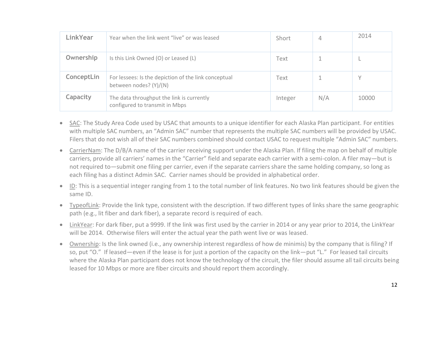| <b>LinkYear</b> | Year when the link went "live" or was leased                                   | Short   | 4   | 2014  |
|-----------------|--------------------------------------------------------------------------------|---------|-----|-------|
| Ownership       | Is this Link Owned (O) or Leased (L)                                           | Text    |     |       |
| ConceptLin      | For lessees: Is the depiction of the link conceptual<br>between nodes? (Y)/(N) | Text    |     |       |
| Capacity        | The data throughput the link is currently<br>configured to transmit in Mbps    | Integer | N/A | 10000 |

- SAC: The Study Area Code used by USAC that amounts to a unique identifier for each Alaska Plan participant. For entities with multiple SAC numbers, an "Admin SAC" number that represents the multiple SAC numbers will be provided by USAC. Filers that do not wish all of their SAC numbers combined should contact USAC to request multiple "Admin SAC" numbers.
- CarrierNam: The D/B/A name of the carrier receiving support under the Alaska Plan. If filing the map on behalf of multiple carriers, provide all carriers' names in the "Carrier" field and separate each carrier with a semi-colon. A filer may—but is not required to—submit one filing per carrier, even if the separate carriers share the same holding company, so long as each filing has a distinct Admin SAC. Carrier names should be provided in alphabetical order.
- ID: This is a sequential integer ranging from 1 to the total number of link features. No two link features should be given the same ID.
- TypeofLink: Provide the link type, consistent with the description. If two different types of links share the same geographic path (e.g., lit fiber and dark fiber), a separate record is required of each.
- LinkYear: For dark fiber, put a 9999. If the link was first used by the carrier in 2014 or any year prior to 2014, the LinkYear will be 2014. Otherwise filers will enter the actual year the path went live or was leased.
- Ownership: Is the link owned (i.e., any ownership interest regardless of how de minimis) by the company that is filing? If so, put "O." If leased—even if the lease is for just a portion of the capacity on the link—put "L." For leased tail circuits where the Alaska Plan participant does not know the technology of the circuit, the filer should assume all tail circuits being leased for 10 Mbps or more are fiber circuits and should report them accordingly.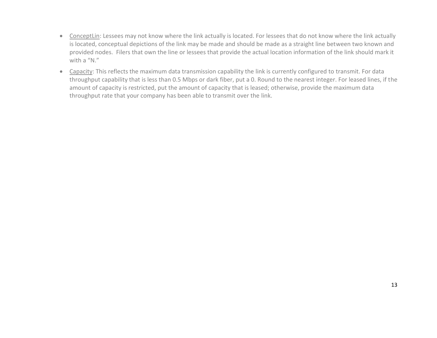- ConceptLin: Lessees may not know where the link actually is located. For lessees that do not know where the link actually is located, conceptual depictions of the link may be made and should be made as a straight line between two known and provided nodes. Filers that own the line or lessees that provide the actual location information of the link should mark it with a "N."
- Capacity: This reflects the maximum data transmission capability the link is currently configured to transmit. For data throughput capability that is less than 0.5 Mbps or dark fiber, put a 0. Round to the nearest integer. For leased lines, if the amount of capacity is restricted, put the amount of capacity that is leased; otherwise, provide the maximum data throughput rate that your company has been able to transmit over the link.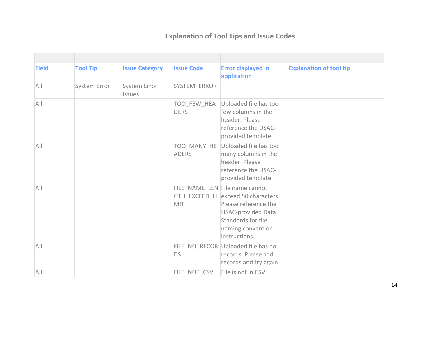# **Explanation of Tool Tips and Issue Codes**

| <b>Field</b> | <b>Tool Tip</b> | <b>Issue Category</b>         | <b>Issue Code</b>           | <b>Error displayed in</b><br>application                                                                                                                                               | <b>Explanation of tool tip</b> |
|--------------|-----------------|-------------------------------|-----------------------------|----------------------------------------------------------------------------------------------------------------------------------------------------------------------------------------|--------------------------------|
| All          | System Error    | System Error<br><b>Issues</b> | SYSTEM_ERROR                |                                                                                                                                                                                        |                                |
| All          |                 |                               | TOO_FEW_HEA<br><b>DERS</b>  | Uploaded file has too<br>few columns in the<br>header. Please<br>reference the USAC-<br>provided template.                                                                             |                                |
| All          |                 |                               | TOO_MANY_HE<br><b>ADERS</b> | Uploaded file has too<br>many columns in the<br>header. Please<br>reference the USAC-<br>provided template.                                                                            |                                |
| All          |                 |                               | MIT                         | FILE_NAME_LEN File name cannot<br>GTH_EXCEED_LI exceed 50 characters.<br>Please reference the<br><b>USAC-provided Data</b><br>Standards for file<br>naming convention<br>instructions. |                                |
| All          |                 |                               | <b>DS</b>                   | FILE_NO_RECOR Uploaded file has no<br>records. Please add<br>records and try again.                                                                                                    |                                |
| All          |                 |                               | FILE_NOT_CSV                | File is not in CSV                                                                                                                                                                     |                                |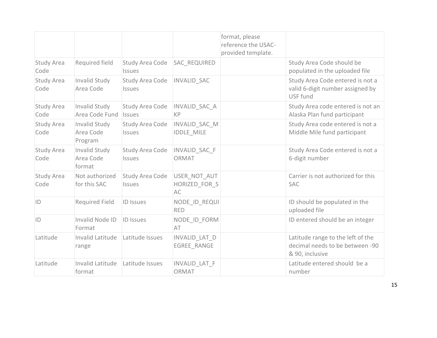|                           |                                       |                                  |                                            | format, please<br>reference the USAC-<br>provided template. |                                                                                         |
|---------------------------|---------------------------------------|----------------------------------|--------------------------------------------|-------------------------------------------------------------|-----------------------------------------------------------------------------------------|
| <b>Study Area</b><br>Code | Required field                        | Study Area Code<br><b>Issues</b> | <b>SAC REQUIRED</b>                        |                                                             | Study Area Code should be<br>populated in the uploaded file                             |
| <b>Study Area</b><br>Code | Invalid Study<br>Area Code            | Study Area Code<br>Issues        | <b>INVALID SAC</b>                         |                                                             | Study Area Code entered is not a<br>valid 6-digit number assigned by<br>USF fund        |
| Study Area<br>Code        | Invalid Study<br>Area Code Fund       | Study Area Code<br><b>Issues</b> | INVALID_SAC_A<br><b>KP</b>                 |                                                             | Study Area code entered is not an<br>Alaska Plan fund participant                       |
| <b>Study Area</b><br>Code | Invalid Study<br>Area Code<br>Program | Study Area Code<br><b>Issues</b> | INVALID SAC M<br><b>IDDLE MILE</b>         |                                                             | Study Area code entered is not a<br>Middle Mile fund participant                        |
| Study Area<br>Code        | Invalid Study<br>Area Code<br>format  | Study Area Code<br>Issues        | <b>INVALID SAC F</b><br>ORMAT              |                                                             | Study Area Code entered is not a<br>6-digit number                                      |
| <b>Study Area</b><br>Code | Not authorized<br>for this SAC        | Study Area Code<br>Issues        | USER NOT AUT<br>HORIZED FOR S<br><b>AC</b> |                                                             | Carrier is not authorized for this<br><b>SAC</b>                                        |
| ID                        | <b>Required Field</b>                 | <b>ID Issues</b>                 | NODE ID REQUI<br><b>RED</b>                |                                                             | ID should be populated in the<br>uploaded file                                          |
| ID                        | Invalid Node ID<br>Format             | <b>ID Issues</b>                 | NODE ID FORM<br>AT                         |                                                             | ID entered should be an integer                                                         |
| Latitude                  | Invalid Latitude<br>range             | Latitude Issues                  | INVALID_LAT_D<br><b>EGREE RANGE</b>        |                                                             | Latitude range to the left of the<br>decimal needs to be between -90<br>& 90, inclusive |
| Latitude                  | Invalid Latitude<br>format            | Latitude Issues                  | INVALID LAT F<br>ORMAT                     |                                                             | Latitude entered should be a<br>number                                                  |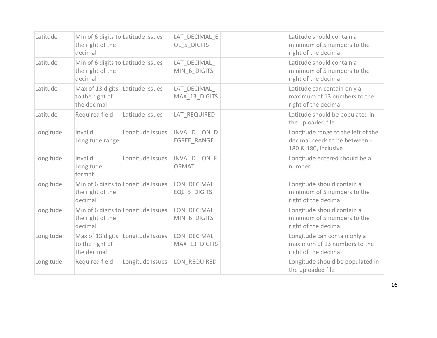| Latitude  | Min of 6 digits to Latitude Issues<br>the right of the<br>decimal |                                     | LAT DECIMAL E<br>QL 5 DIGITS        | Latitude should contain a<br>minimum of 5 numbers to the<br>right of the decimal            |
|-----------|-------------------------------------------------------------------|-------------------------------------|-------------------------------------|---------------------------------------------------------------------------------------------|
| Latitude  | Min of 6 digits to Latitude Issues<br>the right of the<br>decimal |                                     | LAT DECIMAL<br>MIN 6 DIGITS         | Latitude should contain a<br>minimum of 5 numbers to the<br>right of the decimal            |
| Latitude  | Max of 13 digits<br>to the right of<br>the decimal                | Latitude Issues                     | LAT DECIMAL<br>MAX 13 DIGITS        | Latitude can contain only a<br>maximum of 13 numbers to the<br>right of the decimal         |
| Latitude  | Required field                                                    | Latitude Issues                     | LAT REQUIRED                        | Latitude should be populated in<br>the uploaded file                                        |
| Longitude | Invalid<br>Longitude range                                        | Longitude Issues                    | INVALID_LON_D<br><b>EGREE RANGE</b> | Longitude range to the left of the<br>decimal needs to be between -<br>180 & 180, inclusive |
| Longitude | Invalid<br>Longitude<br>format                                    | Longitude Issues                    | INVALID LON F<br>ORMAT              | Longitude entered should be a<br>number                                                     |
| Longitude | the right of the<br>decimal                                       | Min of 6 digits to Longitude Issues | LON DECIMAL<br>EQL 5 DIGITS         | Longitude should contain a<br>minimum of 5 numbers to the<br>right of the decimal           |
| Longitude | the right of the<br>decimal                                       | Min of 6 digits to Longitude Issues | LON DECIMAL<br>MIN 6 DIGITS         | Longitude should contain a<br>minimum of 5 numbers to the<br>right of the decimal           |
| Longitude | Max of 13 digits<br>to the right of<br>the decimal                | Longitude Issues                    | LON DECIMAL<br>MAX 13 DIGITS        | Longitude can contain only a<br>maximum of 13 numbers to the<br>right of the decimal        |
| Longitude | Required field                                                    | Longitude Issues                    | LON REQUIRED                        | Longitude should be populated in<br>the uploaded file                                       |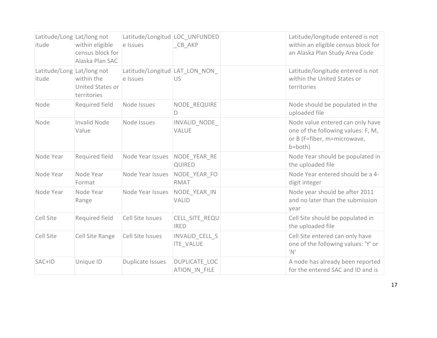| Latitude/Long Lat/long not<br>itude | within eligible<br>census block for<br>Alaska Plan SAC | Latitude/Longitud LOC UNFUNDED<br>e Issues | CB AKP                             | Latitude/longitude entered is not<br>within an eligible census block for<br>an Alaska Plan Study Area Code       |
|-------------------------------------|--------------------------------------------------------|--------------------------------------------|------------------------------------|------------------------------------------------------------------------------------------------------------------|
| Latitude/Long Lat/long not<br>itude | within the<br>United States or<br>territories          | Latitude/Longitud LAT LON NON<br>e Issues  | <b>US</b>                          | Latitude/longitude entered is not<br>within the United States or<br>territories                                  |
| Node                                | Required field                                         | Node Issues                                | NODE REQUIRE<br>D                  | Node should be populated in the<br>uploaded file                                                                 |
| Node                                | <b>Invalid Node</b><br>Value                           | Node Issues                                | INVALID NODE<br><b>VALUE</b>       | Node value entered can only have<br>one of the following values: F, M,<br>or B (F=fiber, m=microwave,<br>b=both) |
| Node Year                           | Required field                                         | Node Year Issues                           | NODE YEAR RE<br><b>QUIRED</b>      | Node Year should be populated in<br>the uploaded file                                                            |
| Node Year                           | Node Year<br>Format                                    | Node Year Issues                           | NODE YEAR FO<br><b>RMAT</b>        | Node Year entered should be a 4-<br>digit integer                                                                |
| Node Year                           | Node Year<br>Range                                     | Node Year Issues                           | NODE YEAR IN<br><b>VALID</b>       | Node year should be after 2011<br>and no later than the submission<br>year                                       |
| <b>Cell Site</b>                    | Required field                                         | Cell Site Issues                           | CELL SITE REQU<br><b>IRED</b>      | Cell Site should be populated in<br>the uploaded file                                                            |
| Cell Site                           | Cell Site Range                                        | Cell Site Issues                           | INVALID CELL S<br><b>ITE_VALUE</b> | Cell Site entered can only have<br>one of the following values: 'Y' or<br>$^{\prime}N^{\prime}$                  |
| SAC+ID                              | Unique ID                                              | Duplicate Issues                           | DUPLICATE_LOC<br>ATION IN FILE     | A node has already been reported<br>for the entered SAC and ID and is                                            |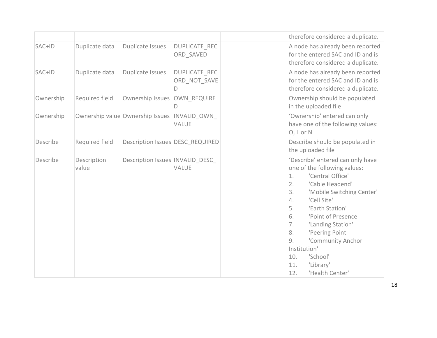|           |                      |                                  |                                           |                                                    | therefore considered a duplicate.                                                                                                                                                                                                                                                                                                           |
|-----------|----------------------|----------------------------------|-------------------------------------------|----------------------------------------------------|---------------------------------------------------------------------------------------------------------------------------------------------------------------------------------------------------------------------------------------------------------------------------------------------------------------------------------------------|
| SAC+ID    | Duplicate data       | Duplicate Issues                 | <b>DUPLICATE REC</b><br>ORD SAVED         |                                                    | A node has already been reported<br>for the entered SAC and ID and is<br>therefore considered a duplicate.                                                                                                                                                                                                                                  |
| SAC+ID    | Duplicate data       | Duplicate Issues                 | <b>DUPLICATE REC</b><br>ORD NOT SAVE<br>D |                                                    | A node has already been reported<br>for the entered SAC and ID and is<br>therefore considered a duplicate.                                                                                                                                                                                                                                  |
| Ownership | Required field       | <b>Ownership Issues</b>          | OWN REQUIRE<br>D                          |                                                    | Ownership should be populated<br>in the uploaded file                                                                                                                                                                                                                                                                                       |
| Ownership |                      | Ownership value Ownership Issues | INVALID OWN<br><b>VALUE</b>               |                                                    | 'Ownership' entered can only<br>have one of the following values:<br>O, L or N                                                                                                                                                                                                                                                              |
| Describe  | Required field       | Description Issues DESC REQUIRED |                                           |                                                    | Describe should be populated in<br>the uploaded file                                                                                                                                                                                                                                                                                        |
| Describe  | Description<br>value | Description Issues INVALID DESC  | <b>VALUE</b>                              | 1.<br>2.<br>3.<br>4.<br>5.<br>6.<br>7.<br>8.<br>9. | 'Describe' entered can only have<br>one of the following values:<br>'Central Office'<br>'Cable Headend'<br>'Mobile Switching Center'<br>'Cell Site'<br>'Earth Station'<br>'Point of Presence'<br>'Landing Station'<br>'Peering Point'<br>'Community Anchor<br>Institution'<br>10.<br>'School'<br>'Library'<br>11.<br>12.<br>'Health Center' |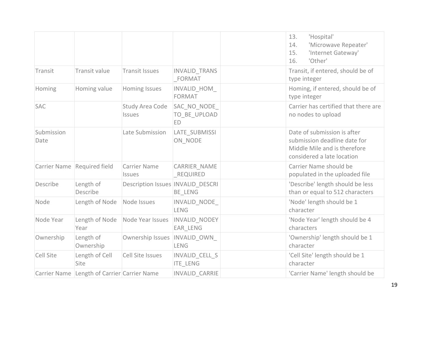|                    |                                             |                                      |                                   | 13.<br>'Hospital'<br>'Microwave Repeater'<br>14.<br>'Internet Gateway'<br>15.<br>'Other'<br>16.                           |
|--------------------|---------------------------------------------|--------------------------------------|-----------------------------------|---------------------------------------------------------------------------------------------------------------------------|
| Transit            | Transit value                               | Transit Issues                       | <b>INVALID TRANS</b><br>FORMAT    | Transit, if entered, should be of<br>type integer                                                                         |
| Homing             | Homing value                                | <b>Homing Issues</b>                 | INVALID HOM<br><b>FORMAT</b>      | Homing, if entered, should be of<br>type integer                                                                          |
| <b>SAC</b>         |                                             | Study Area Code<br><b>Issues</b>     | SAC NO NODE<br>TO BE UPLOAD<br>ED | Carrier has certified that there are<br>no nodes to upload                                                                |
| Submission<br>Date |                                             | Late Submission                      | LATE SUBMISSI<br>ON NODE          | Date of submission is after<br>submission deadline date for<br>Middle Mile and is therefore<br>considered a late location |
|                    | Carrier Name Required field                 | <b>Carrier Name</b><br><b>Issues</b> | CARRIER NAME<br><b>REQUIRED</b>   | Carrier Name should be<br>populated in the uploaded file                                                                  |
| Describe           | Length of<br>Describe                       | Description Issues   INVALID DESCRI  | BE LENG                           | 'Describe' length should be less<br>than or equal to 512 characters                                                       |
| Node               | Length of Node                              | Node Issues                          | INVALID_NODE_<br><b>LENG</b>      | 'Node' length should be 1<br>character                                                                                    |
| Node Year          | Length of Node<br>Year                      | Node Year Issues                     | INVALID NODEY<br>EAR LENG         | 'Node Year' length should be 4<br>characters                                                                              |
| Ownership          | Length of<br>Ownership                      | Ownership Issues                     | INVALID OWN<br><b>LENG</b>        | 'Ownership' length should be 1<br>character                                                                               |
| <b>Cell Site</b>   | Length of Cell<br>Site                      | Cell Site Issues                     | INVALID CELL S<br>ITE_LENG        | 'Cell Site' length should be 1<br>character                                                                               |
|                    | Carrier Name Length of Carrier Carrier Name |                                      | <b>INVALID CARRIE</b>             | 'Carrier Name' length should be                                                                                           |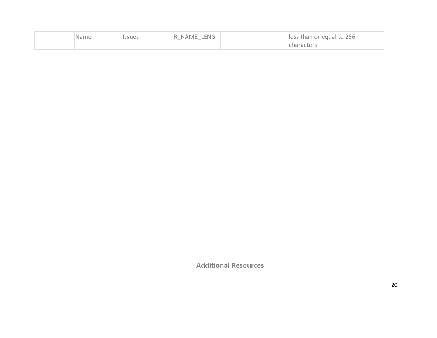| Name | ssues | NAME LENG<br>R<br>$\sim$<br>$\overline{\phantom{a}}$ | less than or equal to 256 |
|------|-------|------------------------------------------------------|---------------------------|
|      |       |                                                      | haracters:                |

**Additional Resources**